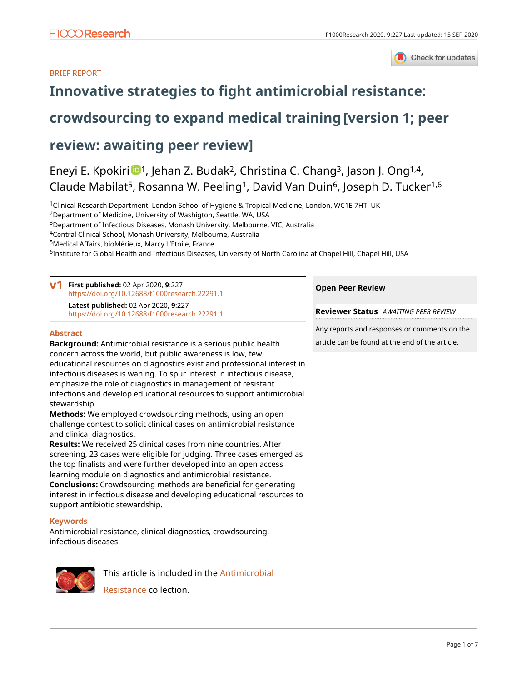#### BRIEF REPORT



# **[Innovative strategies to fight antimicrobial resistance:](https://f1000research.com/articles/9-227/v1)**

# **[crowdsourcing to expand medical training](https://f1000research.com/articles/9-227/v1) [version 1; peer**

## **review: awaiting peer review]**

## Eneyi E. Kpokiri  $\mathbb{D}^1$ , Jehan Z. Budak<sup>2</sup>, Christina C. Chang<sup>3</sup>, Jason J. Ong<sup>1,4</sup>, Claude Mabilat<sup>5</sup>, Rosanna W. Peeling<sup>1</sup>, David Van Duin<sup>6</sup>, Joseph D. Tucker<sup>1,6</sup>

<sup>1</sup>Clinical Research Department, London School of Hygiene & Tropical Medicine, London, WC1E 7HT, UK

<sup>2</sup>Department of Medicine, University of Washigton, Seattle, WA, USA

<sup>3</sup>Department of Infectious Diseases, Monash University, Melbourne, VIC, Australia

<sup>4</sup>Central Clinical School, Monash University, Melbourne, Australia

<sup>5</sup>Medical Affairs, bioMérieux, Marcy L'Etoile, France

<sup>6</sup>Institute for Global Health and Infectious Diseases, University of North Carolina at Chapel Hill, Chapel Hill, USA

### **First published:** 02 Apr 2020, **9**:227 **v1** <https://doi.org/10.12688/f1000research.22291.1>

**Latest published:** 02 Apr 2020, **9**:227 <https://doi.org/10.12688/f1000research.22291.1>

#### **Abstract**

**Background:** Antimicrobial resistance is a serious public health concern across the world, but public awareness is low, few educational resources on diagnostics exist and professional interest in infectious diseases is waning. To spur interest in infectious disease, emphasize the role of diagnostics in management of resistant infections and develop educational resources to support antimicrobial stewardship.

**Methods:** We employed crowdsourcing methods, using an open challenge contest to solicit clinical cases on antimicrobial resistance and clinical diagnostics.

**Results:** We received 25 clinical cases from nine countries. After screening, 23 cases were eligible for judging. Three cases emerged as the top finalists and were further developed into an open access learning module on diagnostics and antimicrobial resistance. **Conclusions:** Crowdsourcing methods are beneficial for generating

interest in infectious disease and developing educational resources to support antibiotic stewardship.

#### **Keywords**

Antimicrobial resistance, clinical diagnostics, crowdsourcing, infectious diseases



This article is included in the [Antimicrobial](https://f1000research.com/collections/antimicrobialresistance) [Resistance](https://f1000research.com/collections/antimicrobialresistance) collection.

**Open Peer Review**

**Reviewer Status** *AWAITING PEER REVIEW*

Any reports and responses or comments on the article can be found at the end of the article.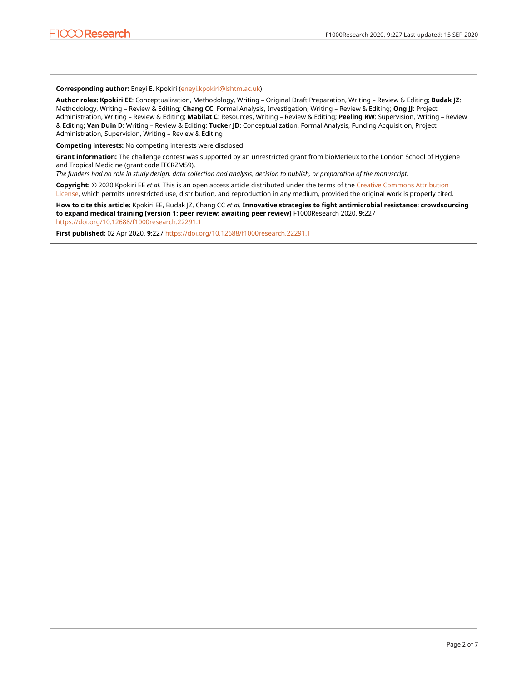#### **Corresponding author:** Eneyi E. Kpokiri [\(eneyi.kpokiri@lshtm.ac.uk](mailto:eneyi.kpokiri@lshtm.ac.uk))

**Author roles: Kpokiri EE**: Conceptualization, Methodology, Writing – Original Draft Preparation, Writing – Review & Editing; **Budak JZ**: Methodology, Writing – Review & Editing; **Chang CC**: Formal Analysis, Investigation, Writing – Review & Editing; **Ong JJ**: Project Administration, Writing – Review & Editing; **Mabilat C**: Resources, Writing – Review & Editing; **Peeling RW**: Supervision, Writing – Review & Editing; **Van Duin D**: Writing – Review & Editing; **Tucker JD**: Conceptualization, Formal Analysis, Funding Acquisition, Project Administration, Supervision, Writing – Review & Editing

**Competing interests:** No competing interests were disclosed.

**Grant information:** The challenge contest was supported by an unrestricted grant from bioMerieux to the London School of Hygiene and Tropical Medicine (grant code ITCRZM59).

*The funders had no role in study design, data collection and analysis, decision to publish, or preparation of the manuscript.*

**Copyright:** © 2020 Kpokiri EE *et al*. This is an open access article distributed under the terms of the [Creative Commons Attribution](http://creativecommons.org/licenses/by/4.0/) [License](http://creativecommons.org/licenses/by/4.0/), which permits unrestricted use, distribution, and reproduction in any medium, provided the original work is properly cited.

**How to cite this article:** Kpokiri EE, Budak JZ, Chang CC *et al.* **Innovative strategies to fight antimicrobial resistance: crowdsourcing to expand medical training [version 1; peer review: awaiting peer review]** F1000Research 2020, **9**:227 <https://doi.org/10.12688/f1000research.22291.1>

**First published:** 02 Apr 2020, **9**:227<https://doi.org/10.12688/f1000research.22291.1>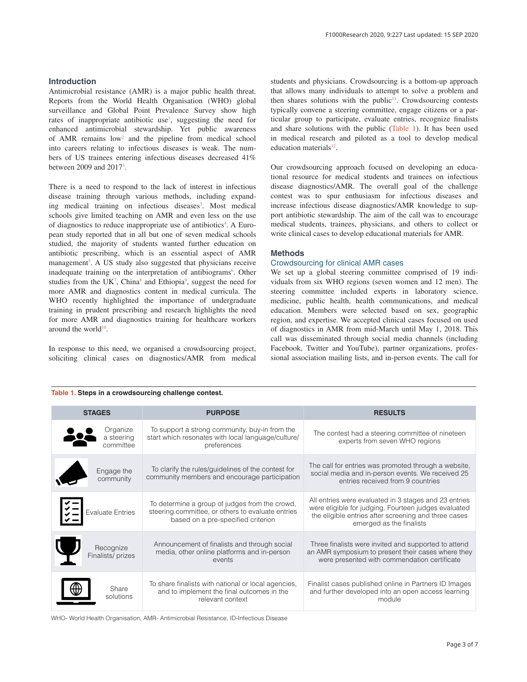#### **Introduction**

Antimicrobial resistance (AMR) is a major public health threat. Reports from the World Health Organisation (WHO) global surveillance and Global Point Prevalence Survey show high rates of inappropriate antibiotic use<sup>1</sup>, suggesting the need for enhanced antimicrobial stewardship. Yet public awareness of AMR remains  $low<sup>2</sup>$  and the pipeline from medical school into careers relating to infectious diseases is weak. The numbers of US trainees entering infectious diseases decreased 41% between 2009 and 2017<sup>3</sup>.

There is a need to respond to the lack of interest in infectious disease training through various methods, including expanding medical training on infectious diseases<sup>3</sup>. Most medical schools give limited teaching on AMR and even less on the use of diagnostics to reduce inappropriate use of antibiotics<sup>[4](#page-4-0)</sup>. A European study reported that in all but one of seven medical schools studied, the majority of students wanted further education on antibiotic prescribing, which is an essential aspect of AMR management<sup>[5](#page-4-0)</sup>. A US study also suggested that physicians receive inadequate training on the interpretation of antibiograms<sup>[6](#page-4-0)</sup>. Other studies from the UK<sup>[7](#page-4-0)</sup>, China<sup>8</sup> and Ethiopia<sup>[9](#page-5-0)</sup>, suggest the need for more AMR and diagnostics content in medical curricula. The WHO recently highlighted the importance of undergraduate training in prudent prescribing and research highlights the need for more AMR and diagnostics training for healthcare workers around the world $10$ .

In response to this need, we organised a crowdsourcing project, soliciting clinical cases on diagnostics/AMR from medical students and physicians. Crowdsourcing is a bottom-up approach that allows many individuals to attempt to solve a problem and then shares solutions with the public<sup>11</sup>. Crowdsourcing contests typically convene a steering committee, engage citizens or a particular group to participate, evaluate entries, recognize finalists and share solutions with the public (Table 1). It has been used in medical research and piloted as a tool to develop medical education materials<sup>[12](#page-5-0)</sup>.

Our crowdsourcing approach focused on developing an educational resource for medical students and trainees on infectious disease diagnostics/AMR. The overall goal of the challenge contest was to spur enthusiasm for infectious diseases and increase infectious disease diagnostics/AMR knowledge to support antibiotic stewardship. The aim of the call was to encourage medical students, trainees, physicians, and others to collect or write clinical cases to develop educational materials for AMR.

#### **Methods**

#### Crowdsourcing for clinical AMR cases

We set up a global steering committee comprised of 19 individuals from six WHO regions (seven women and 12 men). The steering committee included experts in laboratory science, medicine, public health, health communications, and medical education. Members were selected based on sex, geographic region, and expertise. We accepted clinical cases focused on used of diagnostics in AMR from mid-March until May 1, 2018. This call was disseminated through social media channels (including Facebook, Twitter and YouTube), partner organizations, professional association mailing lists, and in-person events. The call for

#### **Table 1. Steps in a crowdsourcing challenge contest.**

| <b>STAGES</b>                       | <b>PURPOSE</b>                                                                                                                            | <b>RESULTS</b>                                                                                                                                                                                    |
|-------------------------------------|-------------------------------------------------------------------------------------------------------------------------------------------|---------------------------------------------------------------------------------------------------------------------------------------------------------------------------------------------------|
| Organize<br>a steering<br>committee | To support a strong community, buy-in from the<br>start which resonates with local language/culture/<br>preferences                       | The contest had a steering committee of nineteen<br>experts from seven WHO regions                                                                                                                |
| Engage the<br>community             | To clarify the rules/guidelines of the contest for<br>community members and encourage participation                                       | The call for entries was promoted through a website,<br>social media and in-person events. We received 25<br>entries received from 9 countries                                                    |
| $\frac{1}{2}$ Evaluate Entries      | To determine a group of judges from the crowd,<br>steering committee, or others to evaluate entries<br>based on a pre-specified criterion | All entries were evaluated in 3 stages and 23 entries<br>were eligible for judging. Fourteen judges evaluated<br>the eligible entries after screening and three cases<br>emerged as the finalists |
| Recognize<br>Finalists/prizes       | Announcement of finalists and through social<br>media, other online platforms and in-person<br>events                                     | Three finalists were invited and supported to attend<br>an AMR symposium to present their cases where they<br>were presented with commendation certificate                                        |
| Share<br>solutions                  | To share finalists with national or local agencies,<br>and to implement the final outcomes in the<br>relevant context                     | Finalist cases published online in Partners ID Images<br>and further developed into an open access learning<br>module                                                                             |

WHO- World Health Organisation, AMR- Antimicrobial Resistance, ID-Infectious Disease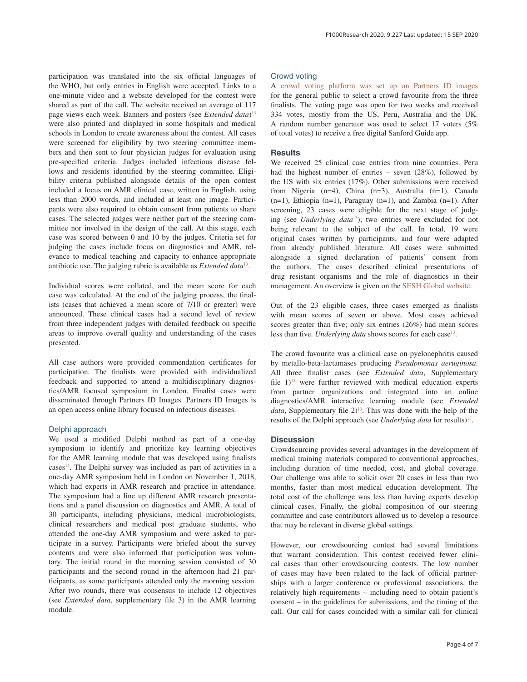participation was translated into the six official languages of the WHO, but only entries in English were accepted. Links to a one-minute video and a website developed for the contest were shared as part of the call. The website received an average of 117 page views each week. Banners and posters (see *Extended data*) [13](#page-5-0) were also printed and displayed in some hospitals and medical schools in London to create awareness about the contest. All cases were screened for eligibility by two steering committee members and then sent to four physician judges for evaluation using pre-specified criteria. Judges included infectious disease fellows and residents identified by the steering committee. Eligibility criteria published alongside details of the open contest included a focus on AMR clinical case, written in English, using less than 2000 words, and included at least one image. Participants were also required to obtain consent from patients to share cases. The selected judges were neither part of the steering committee nor involved in the design of the call. At this stage, each case was scored between 0 and 10 by the judges. Criteria set for judging the cases include focus on diagnostics and AMR, relevance to medical teaching and capacity to enhance appropriate antibiotic use. The judging rubric is available as *Extended data*[13](#page-5-0).

Individual scores were collated, and the mean score for each case was calculated. At the end of the judging process, the finalists (cases that achieved a mean score of 7/10 or greater) were announced. These clinical cases had a second level of review from three independent judges with detailed feedback on specific areas to improve overall quality and understanding of the cases presented.

All case authors were provided commendation certificates for participation. The finalists were provided with individualized feedback and supported to attend a multidisciplinary diagnostics/AMR focused symposium in London. Finalist cases were disseminated through Partners ID Images. Partners ID Images is an open access online library focused on infectious diseases.

#### Delphi approach

We used a modified Delphi method as part of a one-day symposium to identify and prioritize key learning objectives for the AMR learning module that was developed using finalists  $cases<sup>14</sup>$ . The Delphi survey was included as part of activities in a one-day AMR symposium held in London on November 1, 2018, which had experts in AMR research and practice in attendance. The symposium had a line up different AMR research presentations and a panel discussion on diagnostics and AMR. A total of 30 participants, including physicians, medical microbiologists, clinical researchers and medical post graduate students, who attended the one-day AMR symposium and were asked to participate in a survey. Participants were briefed about the survey contents and were also informed that participation was voluntary. The initial round in the morning session consisted of 30 participants and the second round in the afternoon had 21 participants, as some participants attended only the morning session. After two rounds, there was consensus to include 12 objectives (see *Extended data*, supplementary file 3) in the AMR learning module.

#### Crowd voting

A [crowd voting platform was set up on Partners ID images](http://www.idimages.org/casechallenge/) for the general public to select a crowd favourite from the three finalists. The voting page was open for two weeks and received 334 votes, mostly from the US, Peru, Australia and the UK. A random number generator was used to select 17 voters (5% of total votes) to receive a free digital Sanford Guide app.

#### **Results**

We received 25 clinical case entries from nine countries. Peru had the highest number of entries – seven (28%), followed by the US with six entries (17%). Other submissions were received from Nigeria (n=4), China (n=3), Australia (n=1), Canada  $(n=1)$ , Ethiopia  $(n=1)$ , Paraguay  $(n=1)$ , and Zambia  $(n=1)$ . After screening, 23 cases were eligible for the next stage of judging (see *Underlying data*[13\)](#page-5-0); two entries were excluded for not being relevant to the subject of the call. In total, 19 were original cases written by participants, and four were adapted from already published literature. All cases were submitted alongside a signed declaration of patients' consent from the authors. The cases described clinical presentations of drug resistant organisms and the role of diagnostics in their management. An overview is given on the [SESH Global website](https://www.seshglobal.org/DiagnosticsAMR2018).

Out of the 23 eligible cases, three cases emerged as finalists with mean scores of seven or above. Most cases achieved scores greater than five; only six entries (26%) had mean scores less than five. *Underlying data* shows scores for each case<sup>13</sup>.

The crowd favourite was a clinical case on pyelonephritis caused by metallo-beta-lactamases producing *Pseudomonas aeruginosa*. All three finalist cases (see *Extended data*, Supplementary file  $1$ <sup>13</sup> were further reviewed with medical education experts from partner organizations and integrated into an online diagnostics/AMR interactive learning module (see *Extended data*, Supplementary file  $2$ <sup>13</sup>. This was done with the help of the results of the Delphi approach (see *Underlying data* for results)<sup>[13](#page-5-0)</sup>.

#### **Discussion**

Crowdsourcing provides several advantages in the development of medical training materials compared to conventional approaches, including duration of time needed, cost, and global coverage. Our challenge was able to solicit over 20 cases in less than two months, faster than most medical education development. The total cost of the challenge was less than having experts develop clinical cases. Finally, the global composition of our steering committee and case contributors allowed us to develop a resource that may be relevant in diverse global settings.

However, our crowdsourcing contest had several limitations that warrant consideration. This contest received fewer clinical cases than other crowdsourcing contests. The low number of cases may have been related to the lack of official partnerships with a larger conference or professional associations, the relatively high requirements – including need to obtain patient's consent – in the guidelines for submissions, and the timing of the call. Our call for cases coincided with a similar call for clinical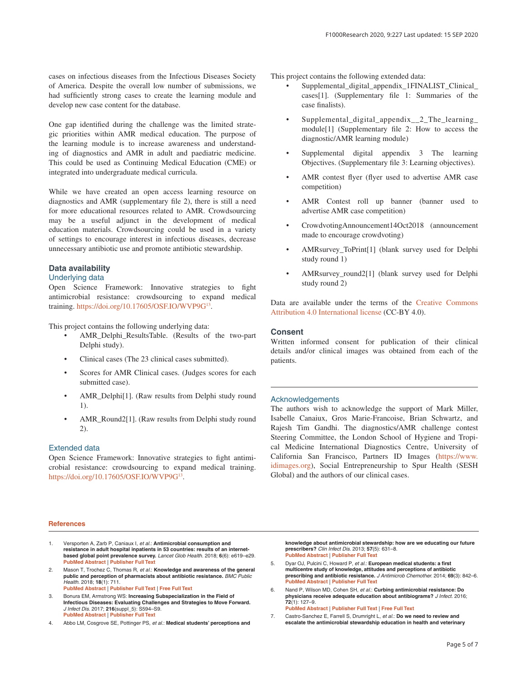<span id="page-4-0"></span>cases on infectious diseases from the Infectious Diseases Society of America. Despite the overall low number of submissions, we had sufficiently strong cases to create the learning module and develop new case content for the database.

One gap identified during the challenge was the limited strategic priorities within AMR medical education. The purpose of the learning module is to increase awareness and understanding of diagnostics and AMR in adult and paediatric medicine. This could be used as Continuing Medical Education (CME) or integrated into undergraduate medical curricula.

While we have created an open access learning resource on diagnostics and AMR (supplementary file 2), there is still a need for more educational resources related to AMR. Crowdsourcing may be a useful adjunct in the development of medical education materials. Crowdsourcing could be used in a variety of settings to encourage interest in infectious diseases, decrease unnecessary antibiotic use and promote antibiotic stewardship.

### **Data availability**

#### Underlying data

Open Science Framework: Innovative strategies to fight antimicrobial resistance: crowdsourcing to expand medical training.<https://doi.org/10.17605/OSF.IO/WVP9G>[13.](#page-5-0)

This project contains the following underlying data:

- AMR\_Delphi\_ResultsTable. (Results of the two-part Delphi study).
- Clinical cases (The 23 clinical cases submitted).
- Scores for AMR Clinical cases. (Judges scores for each submitted case).
- AMR\_Delphi[1]. (Raw results from Delphi study round 1).
- AMR\_Round2[1]. (Raw results from Delphi study round 2).

#### Extended data

Open Science Framework: Innovative strategies to fight antimicrobial resistance: crowdsourcing to expand medical training. <https://doi.org/10.17605/OSF.IO/WVP9G>[13](#page-5-0).

#### This project contains the following extended data:

- Supplemental\_digital\_appendix\_1FINALIST\_Clinical\_ cases[1]. (Supplementary file 1: Summaries of the case finalists).
- Supplemental\_digital\_appendix\_\_2\_The\_learning\_ module[1] (Supplementary file 2: How to access the diagnostic/AMR learning module)
- Supplemental digital appendix 3 The learning Objectives. (Supplementary file 3: Learning objectives).
- AMR contest flyer (flyer used to advertise AMR case competition)
- AMR Contest roll up banner (banner used to advertise AMR case competition)
- CrowdvotingAnnouncement14Oct2018 (announcement made to encourage crowdvoting)
- AMRsurvey\_ToPrint[1] (blank survey used for Delphi study round 1)
- AMRsurvey\_round2[1] (blank survey used for Delphi study round 2)

Data are available under the terms of the [Creative Commons](https://creativecommons.org/licenses/by/4.0/legalcode) [Attribution 4.0 International license](https://creativecommons.org/licenses/by/4.0/legalcode) (CC-BY 4.0).

#### **Consent**

Written informed consent for publication of their clinical details and/or clinical images was obtained from each of the patients.

#### Acknowledgements

The authors wish to acknowledge the support of Mark Miller, Isabelle Canaiux, Gros Marie-Francoise, Brian Schwartz, and Rajesh Tim Gandhi. The diagnostics/AMR challenge contest Steering Committee, the London School of Hygiene and Tropical Medicine International Diagnostics Centre, University of California San Francisco, Partners ID Images [\(https://www.](https://www.idimages.org/) [idimages.org](https://www.idimages.org/)), Social Entrepreneurship to Spur Health (SESH Global) and the authors of our clinical cases.

#### **References**

- 1. Versporten A, Zarb P, Caniaux I, *et al.*: **Antimicrobial consumption and resistance in adult hospital inpatients in 53 countries: results of an internetbased global point prevalence survey.** *Lancet Glob Health.* 2018; **6**(6): e619–e29. **[PubMed Abstract](http://www.ncbi.nlm.nih.gov/pubmed/29681513)** | **[Publisher Full Text](http://dx.doi.org/10.1016/S2214-109X(18)30186-4)**
- 2. Mason T, Trochez C, Thomas R, *et al.*: **Knowledge and awareness of the general public and perception of pharmacists about antibiotic resistance.** *BMC Public Health.* 2018; **18**(1): 711. **[PubMed Abstract](http://www.ncbi.nlm.nih.gov/pubmed/29884154)** | **[Publisher Full Text](http://dx.doi.org/10.1186/s12889-018-5614-3)** | **[Free Full Text](http://www.ncbi.nlm.nih.gov/pmc/articles/5994078)**
- 3. Bonura EM, Armstrong WS: **Increasing Subspecialization in the Field of Infectious Diseases: Evaluating Challenges and Strategies to Move Forward.** *J Infect Dis.* 2017; **216**(suppl\_5): S594–S9. **[PubMed Abstract](http://www.ncbi.nlm.nih.gov/pubmed/28938043)** | **[Publisher Full Text](http://dx.doi.org/10.1093/infdis/jix316)**
- 4. Abbo LM, Cosgrove SE, Pottinger PS, *et al.*: **Medical students' perceptions and**

**knowledge about antimicrobial stewardship: how are we educating our future prescribers?** *Clin Infect Dis.* 2013; **57**(5): 631–8. **[PubMed Abstract](http://www.ncbi.nlm.nih.gov/pubmed/23728148)** | **[Publisher Full Text](http://dx.doi.org/10.1093/cid/cit370)**

- 5. Dyar OJ, Pulcini C, Howard P, *et al.*: **European medical students: a first multicentre study of knowledge, attitudes and perceptions of antibiotic prescribing and antibiotic resistance.** *J Antimicrob Chemother.* 2014; **69**(3): 842–6. **[PubMed Abstract](http://www.ncbi.nlm.nih.gov/pubmed/24191307)** | **[Publisher Full Text](http://dx.doi.org/10.1093/jac/dkt440)**
- 6. Nand P, Wilson MD, Cohen SH, *et al.*: **Curbing antimicrobial resistance: Do physicians receive adequate education about antibiograms?** *J Infect.* 2016; **72**(1): 127–9. **[PubMed Abstract](http://www.ncbi.nlm.nih.gov/pubmed/26449880)** | **[Publisher Full Text](http://dx.doi.org/10.1016/j.jinf.2015.09.036)** | **[Free Full Text](http://www.ncbi.nlm.nih.gov/pmc/articles/4975529)**

7. Castro-Sanchez E, Farrell S, Drumright L, *et al.*: **Do we need to review and escalate the antimicrobial stewardship education in health and veterinary**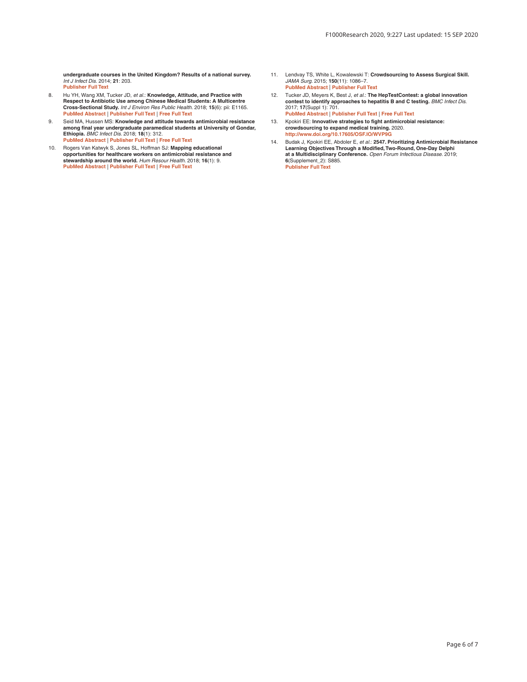<span id="page-5-0"></span>**undergraduate courses in the United Kingdom? Results of a national survey.** *Int J Infect Dis.* 2014; **21**: 203. **[Publisher Full Text](http://dx.doi.org/10.1016/j.ijid.2014.03.845)**

- 8. Hu YH, Wang XM, Tucker JD, *et al.*: **Knowledge, Attitude, and Practice with Respect to Antibiotic Use among Chinese Medical Students: A Multicentre Cross-Sectional Study.** *Int J Environ Res Public Health.* 2018; **15**(6): pii: E1165. **[PubMed Abstract](http://www.ncbi.nlm.nih.gov/pubmed/29867005)** | **[Publisher Full Text](http://dx.doi.org/10.3390/ijerph15061165)** | **[Free Full Text](http://www.ncbi.nlm.nih.gov/pmc/articles/6025109)**
- 9. Seid MA, Hussen MS: **Knowledge and attitude towards antimicrobial resistance among final year undergraduate paramedical students at University of Gondar, Ethiopia.** *BMC Infect Dis.* 2018; **18**(1): 312. **[PubMed Abstract](http://www.ncbi.nlm.nih.gov/pubmed/29980174)** | **[Publisher Full Text](http://dx.doi.org/10.1186/s12879-018-3199-1)** | **[Free Full Text](http://www.ncbi.nlm.nih.gov/pmc/articles/6035414)**
- 10. Rogers Van Katwyk S, Jones SL, Hoffman SJ: **Mapping educational opportunities for healthcare workers on antimicrobial resistance and stewardship around the world.** *Hum Resour Health.* 2018; **16**(1): 9. **[PubMed Abstract](http://www.ncbi.nlm.nih.gov/pubmed/29402327)** | **[Publisher Full Text](http://dx.doi.org/10.1186/s12960-018-0270-3)** | **[Free Full Text](http://www.ncbi.nlm.nih.gov/pmc/articles/5799960)**
- 11. Lendvay TS, White L, Kowalewski T: **Crowdsourcing to Assess Surgical Skill.** *JAMA Surg.* 2015; **150**(11): 1086–7. **[PubMed Abstract](http://www.ncbi.nlm.nih.gov/pubmed/26421369)** | **[Publisher Full Text](http://dx.doi.org/10.1001/jamasurg.2015.2405)**
- 12. Tucker JD, Meyers K, Best J, *et al.*: **The HepTestContest: a global innovation contest to identify approaches to hepatitis B and C testing.** *BMC Infect Dis.* 2017; **17**(Suppl 1): 701. **[PubMed Abstract](http://www.ncbi.nlm.nih.gov/pubmed/29143673)** | **[Publisher Full Text](http://dx.doi.org/10.1186/s12879-017-2771-4)** | **[Free Full Text](http://www.ncbi.nlm.nih.gov/pmc/articles/5688427)**
- 13. Kpokiri EE: **Innovative strategies to fight antimicrobial resistance: crowdsourcing to expand medical training.** 2020. **<http://www.doi.org/10.17605/OSF.IO/WVP9G>**
- 14. Budak J, Kpokiri EE, Abdoler E, *et al.*: **2547. Prioritizing Antimicrobial Resistance Learning Objectives Through a Modified, Two-Round, One-Day Delphi at a Multidisciplinary Conference.** *Open Forum Infectious Disease.* 2019; **6**(Supplement\_2): S885. **[Publisher Full Text](http://dx.doi.org/10.1093/ofid/ofz360.2225)**